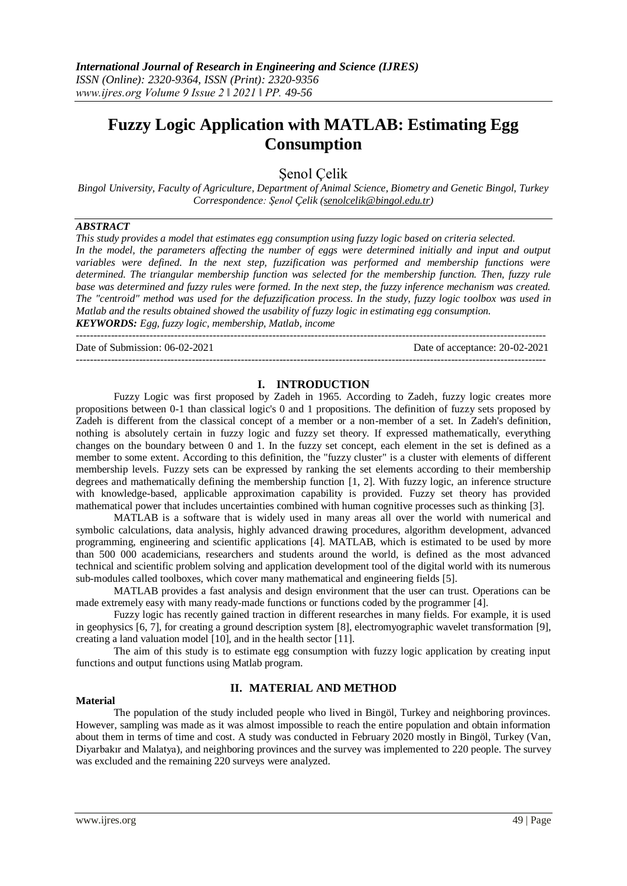# **Fuzzy Logic Application with MATLAB: Estimating Egg Consumption**

Şenol Çelik

*Bingol University, Faculty of Agriculture, Department of Animal Science, Biometry and Genetic Bingol, Turkey Correspondence: Şenol Çelik [\(senolcelik@bingol.edu.tr\)](mailto:senolcelik@bingol.edu.tr)*

# *ABSTRACT*

*This study provides a model that estimates egg consumption using fuzzy logic based on criteria selected.* In the model, the parameters affecting the number of eggs were determined initially and input and output *variables were defined. In the next step, fuzzification was performed and membership functions were determined. The triangular membership function was selected for the membership function. Then, fuzzy rule base was determined and fuzzy rules were formed. In the next step, the fuzzy inference mechanism was created. The "centroid" method was used for the defuzzification process. In the study, fuzzy logic toolbox was used in Matlab and the results obtained showed the usability of fuzzy logic in estimating egg consumption. KEYWORDS: Egg, fuzzy logic, membership, Matlab, income*

--------------------------------------------------------------------------------------------------------------------------------------

Date of Submission: 06-02-2021 Date of acceptance: 20-02-2021

# **I. INTRODUCTION**

--------------------------------------------------------------------------------------------------------------------------------------

Fuzzy Logic was first proposed by Zadeh in 1965. According to Zadeh, fuzzy logic creates more propositions between 0-1 than classical logic's 0 and 1 propositions. The definition of fuzzy sets proposed by Zadeh is different from the classical concept of a member or a non-member of a set. In Zadeh's definition, nothing is absolutely certain in fuzzy logic and fuzzy set theory. If expressed mathematically, everything changes on the boundary between 0 and 1. In the fuzzy set concept, each element in the set is defined as a member to some extent. According to this definition, the "fuzzy cluster" is a cluster with elements of different membership levels. Fuzzy sets can be expressed by ranking the set elements according to their membership degrees and mathematically defining the membership function [1, 2]. With fuzzy logic, an inference structure with knowledge-based, applicable approximation capability is provided. Fuzzy set theory has provided mathematical power that includes uncertainties combined with human cognitive processes such as thinking [3].

MATLAB is a software that is widely used in many areas all over the world with numerical and symbolic calculations, data analysis, highly advanced drawing procedures, algorithm development, advanced programming, engineering and scientific applications [4]. MATLAB, which is estimated to be used by more than 500 000 academicians, researchers and students around the world, is defined as the most advanced technical and scientific problem solving and application development tool of the digital world with its numerous sub-modules called toolboxes, which cover many mathematical and engineering fields [5].

MATLAB provides a fast analysis and design environment that the user can trust. Operations can be made extremely easy with many ready-made functions or functions coded by the programmer [4].

Fuzzy logic has recently gained traction in different researches in many fields. For example, it is used in geophysics [6, 7], for creating a ground description system [8], electromyographic wavelet transformation [9], creating a land valuation model [10], and in the health sector [11].

The aim of this study is to estimate egg consumption with fuzzy logic application by creating input functions and output functions using Matlab program.

# **II. MATERIAL AND METHOD**

### **Material**

The population of the study included people who lived in Bingöl, Turkey and neighboring provinces. However, sampling was made as it was almost impossible to reach the entire population and obtain information about them in terms of time and cost. A study was conducted in February 2020 mostly in Bingöl, Turkey (Van, Diyarbakır and Malatya), and neighboring provinces and the survey was implemented to 220 people. The survey was excluded and the remaining 220 surveys were analyzed.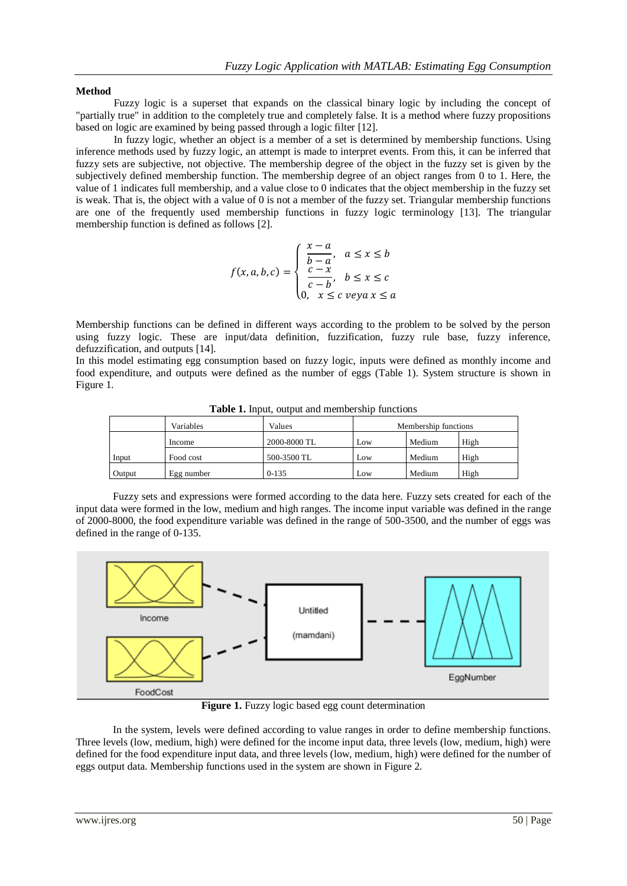## **Method**

Fuzzy logic is a superset that expands on the classical binary logic by including the concept of "partially true" in addition to the completely true and completely false. It is a method where fuzzy propositions based on logic are examined by being passed through a logic filter [12].

In fuzzy logic, whether an object is a member of a set is determined by membership functions. Using inference methods used by fuzzy logic, an attempt is made to interpret events. From this, it can be inferred that fuzzy sets are subjective, not objective. The membership degree of the object in the fuzzy set is given by the subjectively defined membership function. The membership degree of an object ranges from 0 to 1. Here, the value of 1 indicates full membership, and a value close to 0 indicates that the object membership in the fuzzy set is weak. That is, the object with a value of 0 is not a member of the fuzzy set. Triangular membership functions are one of the frequently used membership functions in fuzzy logic terminology [13]. The triangular membership function is defined as follows [2].

$$
f(x, a, b, c) = \begin{cases} \frac{x - a}{b - a}, & a \leq x \leq b \\ \frac{c - x}{c - b}, & b \leq x \leq c \\ 0, & x \leq c \text{ veya } x \leq a \end{cases}
$$

Membership functions can be defined in different ways according to the problem to be solved by the person using fuzzy logic. These are input/data definition, fuzzification, fuzzy rule base, fuzzy inference, defuzzification, and outputs [14].

In this model estimating egg consumption based on fuzzy logic, inputs were defined as monthly income and food expenditure, and outputs were defined as the number of eggs (Table 1). System structure is shown in Figure 1.

|        | Variables  | Values       |     | Membership functions |      |  |
|--------|------------|--------------|-----|----------------------|------|--|
|        | Income     | 2000-8000 TL | Low | Medium               | High |  |
| Input  | Food cost  | 500-3500 TL  | Low | Medium               | High |  |
| Output | Egg number | $0-135$      | Low | Medium               | High |  |

**Table 1.** Input, output and membership functions

Fuzzy sets and expressions were formed according to the data here. Fuzzy sets created for each of the input data were formed in the low, medium and high ranges. The income input variable was defined in the range of 2000-8000, the food expenditure variable was defined in the range of 500-3500, and the number of eggs was defined in the range of 0-135.



**Figure 1.** Fuzzy logic based egg count determination

In the system, levels were defined according to value ranges in order to define membership functions. Three levels (low, medium, high) were defined for the income input data, three levels (low, medium, high) were defined for the food expenditure input data, and three levels (low, medium, high) were defined for the number of eggs output data. Membership functions used in the system are shown in Figure 2.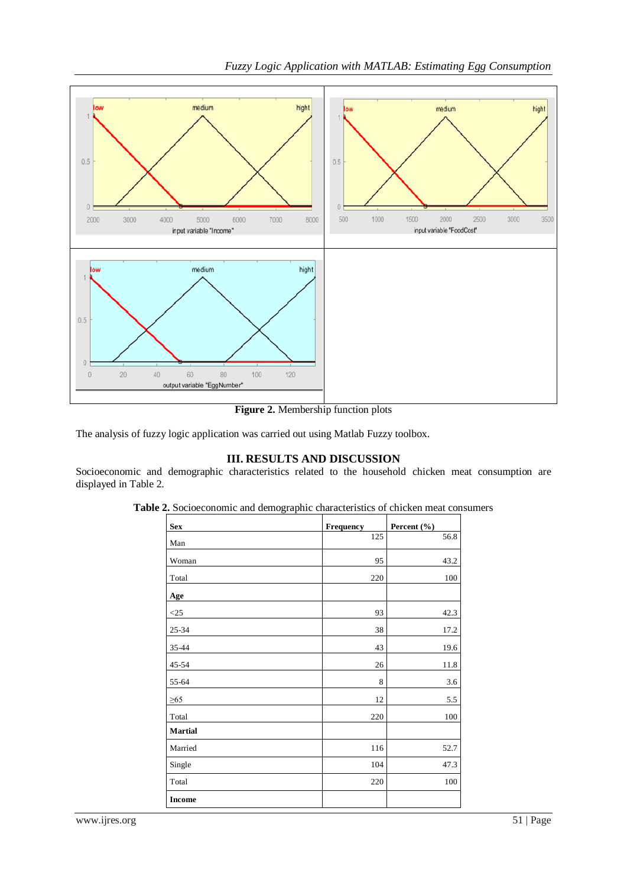

**Figure 2.** Membership function plots

The analysis of fuzzy logic application was carried out using Matlab Fuzzy toolbox.

# **III. RESULTS AND DISCUSSION**

Socioeconomic and demographic characteristics related to the household chicken meat consumption are displayed in Table 2.

| <b>Sex</b>     | <b>Frequency</b> | Percent $(\% )$ |
|----------------|------------------|-----------------|
| Man            | 125              | 56.8            |
| Woman          | 95               | 43.2            |
| Total          | 220              | 100             |
| Age            |                  |                 |
| $<$ 25         | 93               | 42.3            |
| 25-34          | 38               | 17.2            |
| 35-44          | 43               | 19.6            |
| 45-54          | 26               | 11.8            |
| 55-64          | 8                | 3.6             |
| ${\geq}65$     | 12               | 5.5             |
| Total          | 220              | 100             |
| <b>Martial</b> |                  |                 |
| Married        | 116              | 52.7            |
| Single         | 104              | 47.3            |
| Total          | 220              | 100             |
| <b>Income</b>  |                  |                 |

**Table 2.** Socioeconomic and demographic characteristics of chicken meat consumers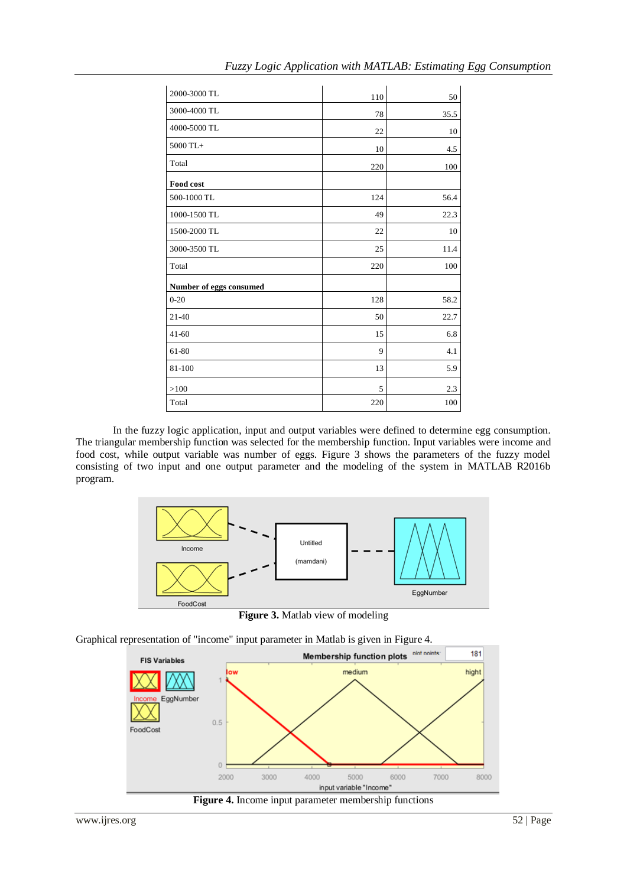|  |  |  |  | Fuzzy Logic Application with MATLAB: Estimating Egg Consumption |
|--|--|--|--|-----------------------------------------------------------------|
|--|--|--|--|-----------------------------------------------------------------|

| 2000-3000 TL                   |     |      |
|--------------------------------|-----|------|
| 3000-4000 TL                   | 110 | 50   |
|                                | 78  | 35.5 |
| 4000-5000 TL                   | 22  | 10   |
| 5000 TL+                       | 10  | 4.5  |
| Total                          | 220 | 100  |
| Food cost                      |     |      |
| 500-1000 TL                    | 124 | 56.4 |
| 1000-1500 TL                   | 49  | 22.3 |
| 1500-2000 TL                   | 22  | 10   |
| 3000-3500 TL                   | 25  | 11.4 |
| Total                          | 220 | 100  |
| <b>Number of eggs consumed</b> |     |      |
| $0 - 20$                       | 128 | 58.2 |
| 21-40                          | 50  | 22.7 |
| $41 - 60$                      | 15  | 6.8  |
| 61-80                          | 9   | 4.1  |
| 81-100                         | 13  | 5.9  |
| >100                           | 5   | 2.3  |
| Total                          | 220 | 100  |

In the fuzzy logic application, input and output variables were defined to determine egg consumption. The triangular membership function was selected for the membership function. Input variables were income and food cost, while output variable was number of eggs. Figure 3 shows the parameters of the fuzzy model consisting of two input and one output parameter and the modeling of the system in MATLAB R2016b program.



**Figure 3.** Matlab view of modeling

Graphical representation of "income" input parameter in Matlab is given in Figure 4.

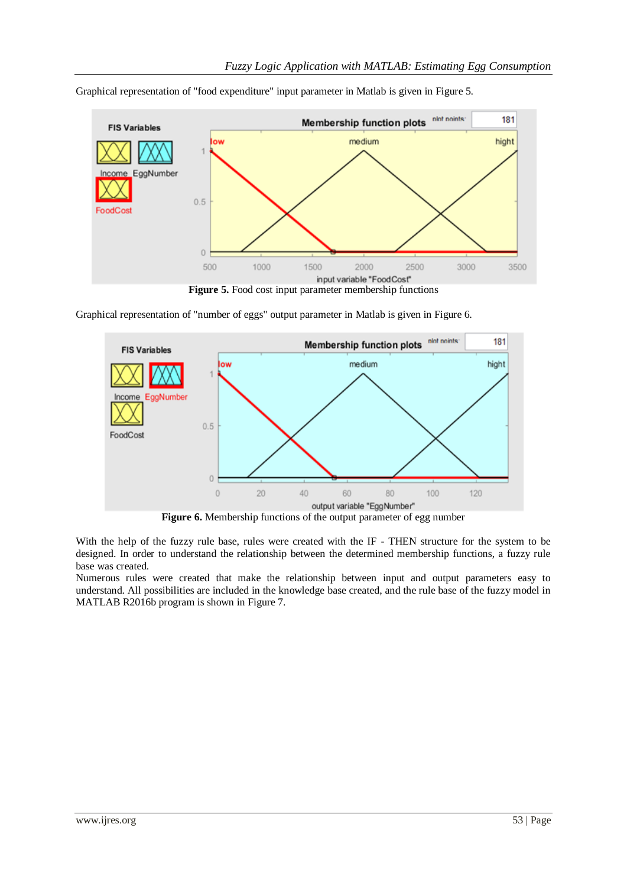

Graphical representation of "food expenditure" input parameter in Matlab is given in Figure 5.

**Figure 5.** Food cost input parameter membership functions

Graphical representation of "number of eggs" output parameter in Matlab is given in Figure 6.



**Figure 6.** Membership functions of the output parameter of egg number

With the help of the fuzzy rule base, rules were created with the IF - THEN structure for the system to be designed. In order to understand the relationship between the determined membership functions, a fuzzy rule base was created.

Numerous rules were created that make the relationship between input and output parameters easy to understand. All possibilities are included in the knowledge base created, and the rule base of the fuzzy model in MATLAB R2016b program is shown in Figure 7.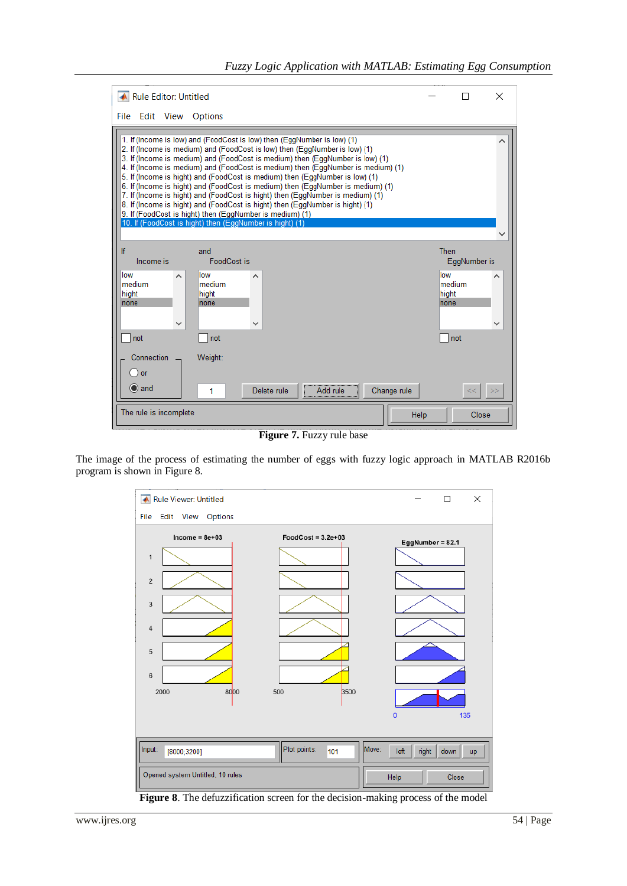| Rule Editor: Untitled                                                                                                                                                                                                                                                                                                                                                                                                                                                                                                                                                                                                                                                                                                                                                                    |                              |                               | $\times$ |
|------------------------------------------------------------------------------------------------------------------------------------------------------------------------------------------------------------------------------------------------------------------------------------------------------------------------------------------------------------------------------------------------------------------------------------------------------------------------------------------------------------------------------------------------------------------------------------------------------------------------------------------------------------------------------------------------------------------------------------------------------------------------------------------|------------------------------|-------------------------------|----------|
| File Edit View<br>Options                                                                                                                                                                                                                                                                                                                                                                                                                                                                                                                                                                                                                                                                                                                                                                |                              |                               |          |
| 1. If (Income is low) and (FoodCost is low) then (EggNumber is low) (1)<br>2. If (Income is medium) and (FoodCost is low) then (EggNumber is low) (1)<br>3. If (Income is medium) and (FoodCost is medium) then (EqqNumber is low) (1)<br>4. If (Income is medium) and (FoodCost is medium) then (EggNumber is medium) (1)<br>5. If (Income is hight) and (FoodCost is medium) then (EggNumber is low) (1)<br>6. If (Income is hight) and (FoodCost is medium) then (EqgNumber is medium) (1)<br>7. If (Income is hight) and (FoodCost is hight) then (EggNumber is medium) (1)<br>8. If (Income is hight) and (FoodCost is hight) then (EggNumber is hight) (1)<br>9. If (FoodCost is hight) then (EggNumber is medium) (1)<br>10. If (FoodCost is hight) then (EggNumber is hight) (1) |                              |                               |          |
| If<br>and<br>Income is<br>FoodCost is<br>llow<br>llow<br>∧<br>medium<br>medium<br>hight<br>hight<br>none<br>none<br>$\checkmark$<br>v<br>not<br>not                                                                                                                                                                                                                                                                                                                                                                                                                                                                                                                                                                                                                                      | Then<br>low<br>hight<br>none | EggNumber is<br>medium<br>not |          |
| Connection<br>Weight:<br>or<br>$\odot$ and<br>Change rule<br>Delete rule<br>Add rule<br>1<br>The rule is incomplete<br>Help                                                                                                                                                                                                                                                                                                                                                                                                                                                                                                                                                                                                                                                              |                              | <<<br>Close                   | >        |

**Figure 7.** Fuzzy rule base

The image of the process of estimating the number of eggs with fuzzy logic approach in MATLAB R2016b program is shown in Figure 8.



**Figure 8**. The defuzzification screen for the decision-making process of the model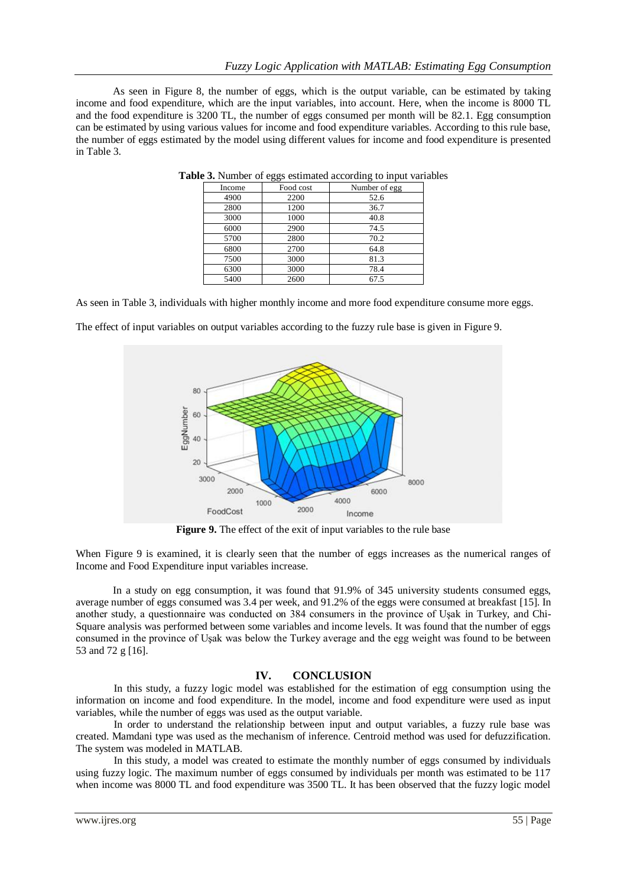As seen in Figure 8, the number of eggs, which is the output variable, can be estimated by taking income and food expenditure, which are the input variables, into account. Here, when the income is 8000 TL and the food expenditure is 3200 TL, the number of eggs consumed per month will be 82.1. Egg consumption can be estimated by using various values for income and food expenditure variables. According to this rule base, the number of eggs estimated by the model using different values for income and food expenditure is presented in Table 3.

| Income | Food cost | Number of egg |
|--------|-----------|---------------|
| 4900   | 2200      | 52.6          |
| 2800   | 1200      | 36.7          |
| 3000   | 1000      | 40.8          |
| 6000   | 2900      | 74.5          |
| 5700   | 2800      | 70.2          |
| 6800   | 2700      | 64.8          |
| 7500   | 3000      | 81.3          |
| 6300   | 3000      | 78.4          |
| 5400   | 2600      | 67.5          |

**Table 3.** Number of eggs estimated according to input variables

As seen in Table 3, individuals with higher monthly income and more food expenditure consume more eggs.

The effect of input variables on output variables according to the fuzzy rule base is given in Figure 9.



**Figure 9.** The effect of the exit of input variables to the rule base

When Figure 9 is examined, it is clearly seen that the number of eggs increases as the numerical ranges of Income and Food Expenditure input variables increase.

In a study on egg consumption, it was found that 91.9% of 345 university students consumed eggs, average number of eggs consumed was 3.4 per week, and 91.2% of the eggs were consumed at breakfast [15]. In another study, a questionnaire was conducted on 384 consumers in the province of Uşak in Turkey, and Chi-Square analysis was performed between some variables and income levels. It was found that the number of eggs consumed in the province of Uşak was below the Turkey average and the egg weight was found to be between 53 and 72 g [16].

# **IV. CONCLUSION**

In this study, a fuzzy logic model was established for the estimation of egg consumption using the information on income and food expenditure. In the model, income and food expenditure were used as input variables, while the number of eggs was used as the output variable.

In order to understand the relationship between input and output variables, a fuzzy rule base was created. Mamdani type was used as the mechanism of inference. Centroid method was used for defuzzification. The system was modeled in MATLAB.

In this study, a model was created to estimate the monthly number of eggs consumed by individuals using fuzzy logic. The maximum number of eggs consumed by individuals per month was estimated to be 117 when income was 8000 TL and food expenditure was 3500 TL. It has been observed that the fuzzy logic model